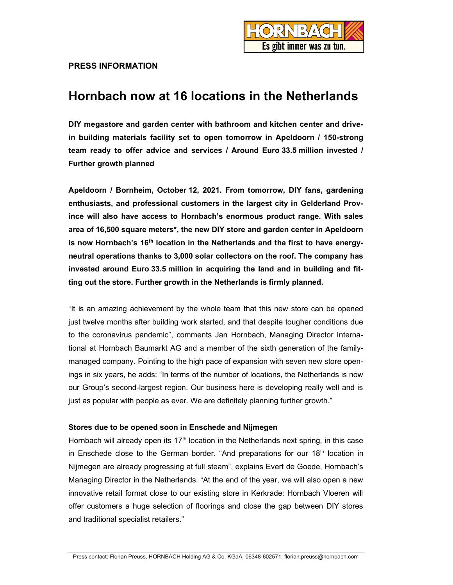

## PRESS INFORMATION

# Hornbach now at 16 locations in the Netherlands

DIY megastore and garden center with bathroom and kitchen center and drivein building materials facility set to open tomorrow in Apeldoorn / 150-strong team ready to offer advice and services / Around Euro 33.5 million invested / Further growth planned

Apeldoorn / Bornheim, October 12, 2021. From tomorrow, DIY fans, gardening enthusiasts, and professional customers in the largest city in Gelderland Province will also have access to Hornbach's enormous product range. With sales area of 16,500 square meters\*, the new DIY store and garden center in Apeldoorn is now Hornbach's 16<sup>th</sup> location in the Netherlands and the first to have energyneutral operations thanks to 3,000 solar collectors on the roof. The company has invested around Euro 33.5 million in acquiring the land and in building and fitting out the store. Further growth in the Netherlands is firmly planned.

"It is an amazing achievement by the whole team that this new store can be opened just twelve months after building work started, and that despite tougher conditions due to the coronavirus pandemic", comments Jan Hornbach, Managing Director International at Hornbach Baumarkt AG and a member of the sixth generation of the familymanaged company. Pointing to the high pace of expansion with seven new store openings in six years, he adds: "In terms of the number of locations, the Netherlands is now our Group's second-largest region. Our business here is developing really well and is just as popular with people as ever. We are definitely planning further growth."

## Stores due to be opened soon in Enschede and Nijmegen

Hornbach will already open its  $17<sup>th</sup>$  location in the Netherlands next spring, in this case in Enschede close to the German border. "And preparations for our  $18<sup>th</sup>$  location in Nijmegen are already progressing at full steam", explains Evert de Goede, Hornbach's Managing Director in the Netherlands. "At the end of the year, we will also open a new innovative retail format close to our existing store in Kerkrade: Hornbach Vloeren will offer customers a huge selection of floorings and close the gap between DIY stores and traditional specialist retailers."